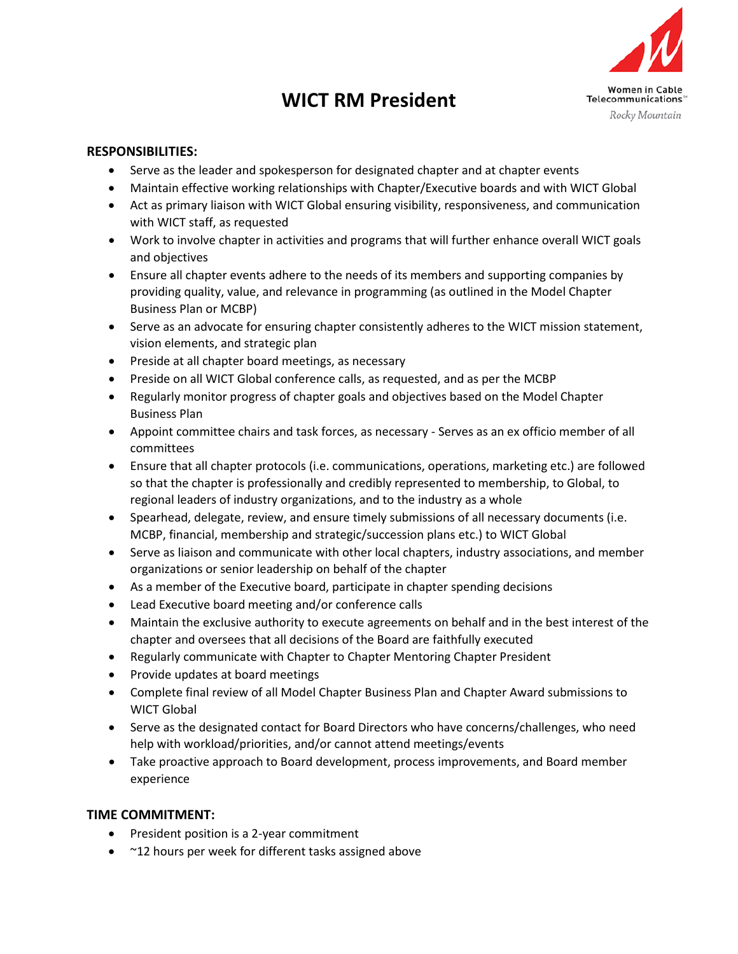## **WICT RM President**



## **RESPONSIBILITIES:**

- Serve as the leader and spokesperson for designated chapter and at chapter events
- Maintain effective working relationships with Chapter/Executive boards and with WICT Global
- Act as primary liaison with WICT Global ensuring visibility, responsiveness, and communication with WICT staff, as requested
- Work to involve chapter in activities and programs that will further enhance overall WICT goals and objectives
- Ensure all chapter events adhere to the needs of its members and supporting companies by providing quality, value, and relevance in programming (as outlined in the Model Chapter Business Plan or MCBP)
- Serve as an advocate for ensuring chapter consistently adheres to the WICT mission statement, vision elements, and strategic plan
- Preside at all chapter board meetings, as necessary
- Preside on all WICT Global conference calls, as requested, and as per the MCBP
- Regularly monitor progress of chapter goals and objectives based on the Model Chapter Business Plan
- Appoint committee chairs and task forces, as necessary Serves as an ex officio member of all committees
- Ensure that all chapter protocols (i.e. communications, operations, marketing etc.) are followed so that the chapter is professionally and credibly represented to membership, to Global, to regional leaders of industry organizations, and to the industry as a whole
- Spearhead, delegate, review, and ensure timely submissions of all necessary documents (i.e. MCBP, financial, membership and strategic/succession plans etc.) to WICT Global
- Serve as liaison and communicate with other local chapters, industry associations, and member organizations or senior leadership on behalf of the chapter
- As a member of the Executive board, participate in chapter spending decisions
- Lead Executive board meeting and/or conference calls
- Maintain the exclusive authority to execute agreements on behalf and in the best interest of the chapter and oversees that all decisions of the Board are faithfully executed
- Regularly communicate with Chapter to Chapter Mentoring Chapter President
- Provide updates at board meetings
- Complete final review of all Model Chapter Business Plan and Chapter Award submissions to WICT Global
- Serve as the designated contact for Board Directors who have concerns/challenges, who need help with workload/priorities, and/or cannot attend meetings/events
- Take proactive approach to Board development, process improvements, and Board member experience

## **TIME COMMITMENT:**

- President position is a 2-year commitment
- ~12 hours per week for different tasks assigned above